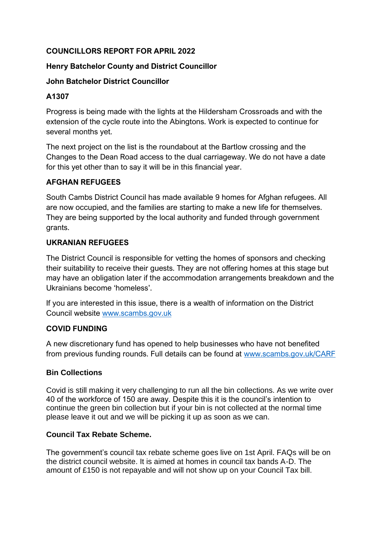# **COUNCILLORS REPORT FOR APRIL 2022**

# **Henry Batchelor County and District Councillor**

## **John Batchelor District Councillor**

# **A1307**

Progress is being made with the lights at the Hildersham Crossroads and with the extension of the cycle route into the Abingtons. Work is expected to continue for several months yet.

The next project on the list is the roundabout at the Bartlow crossing and the Changes to the Dean Road access to the dual carriageway. We do not have a date for this yet other than to say it will be in this financial year.

# **AFGHAN REFUGEES**

South Cambs District Council has made available 9 homes for Afghan refugees. All are now occupied, and the families are starting to make a new life for themselves. They are being supported by the local authority and funded through government grants.

## **UKRANIAN REFUGEES**

The District Council is responsible for vetting the homes of sponsors and checking their suitability to receive their guests. They are not offering homes at this stage but may have an obligation later if the accommodation arrangements breakdown and the Ukrainians become 'homeless'.

If you are interested in this issue, there is a wealth of information on the District Council website [www.scambs.gov.uk](http://www.scambs.gov.uk/)

## **COVID FUNDING**

A new discretionary fund has opened to help businesses who have not benefited from previous funding rounds. Full details can be found at [www.scambs.gov.uk/CARF](http://www.scambs.gov.uk/CARF)

## **Bin Collections**

Covid is still making it very challenging to run all the bin collections. As we write over 40 of the workforce of 150 are away. Despite this it is the council's intention to continue the green bin collection but if your bin is not collected at the normal time please leave it out and we will be picking it up as soon as we can.

## **Council Tax Rebate Scheme.**

The government's council tax rebate scheme goes live on 1st April. FAQs will be on the district council website. It is aimed at homes in council tax bands A-D. The amount of £150 is not repayable and will not show up on your Council Tax bill.